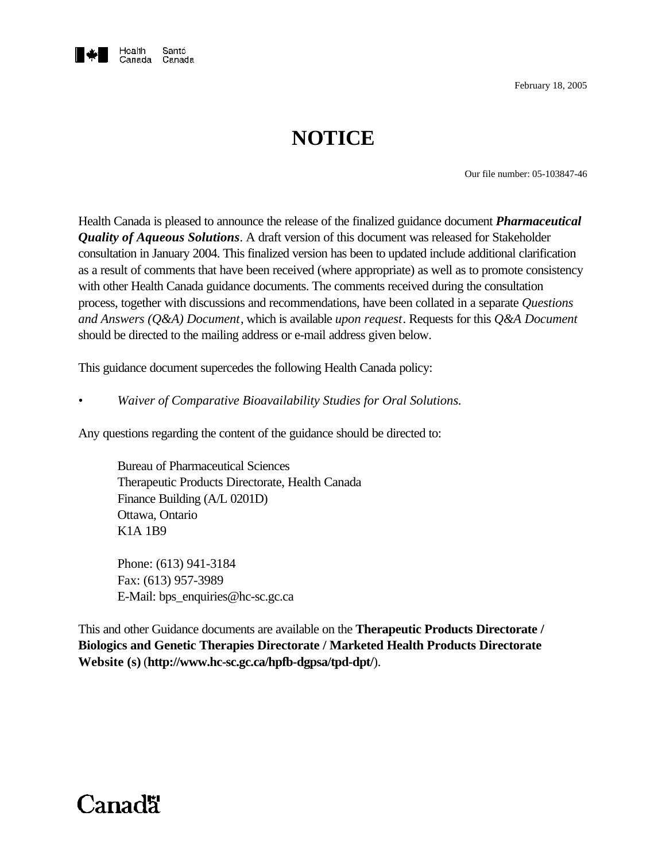

February 18, 2005

# **NOTICE**

Our file number: 05-103847-46

Health Canada is pleased to announce the release of the finalized guidance document *Pharmaceutical Quality of Aqueous Solutions*. A draft version of this document was released for Stakeholder consultation in January 2004. This finalized version has been to updated include additional clarification as a result of comments that have been received (where appropriate) as well as to promote consistency with other Health Canada guidance documents. The comments received during the consultation process, together with discussions and recommendations, have been collated in a separate *Questions and Answers (Q&A) Document*, which is available *upon request*. Requests for this *Q&A Document* should be directed to the mailing address or e-mail address given below.

This guidance document supercedes the following Health Canada policy:

*• Waiver of Comparative Bioavailability Studies for Oral Solutions.*

Any questions regarding the content of the guidance should be directed to:

Bureau of Pharmaceutical Sciences Therapeutic Products Directorate, Health Canada Finance Building (A/L 0201D) Ottawa, Ontario K1A 1B9

Phone: (613) 941-3184 Fax: (613) 957-3989 E-Mail: bps\_enquiries@hc-sc.gc.ca

This and other Guidance documents are available on the **Therapeutic Products Directorate / Biologics and Genetic Therapies Directorate / Marketed Health Products Directorate Website (s)** (**http://www.hc-sc.gc.ca/hpfb-dgpsa/tpd-dpt/**).

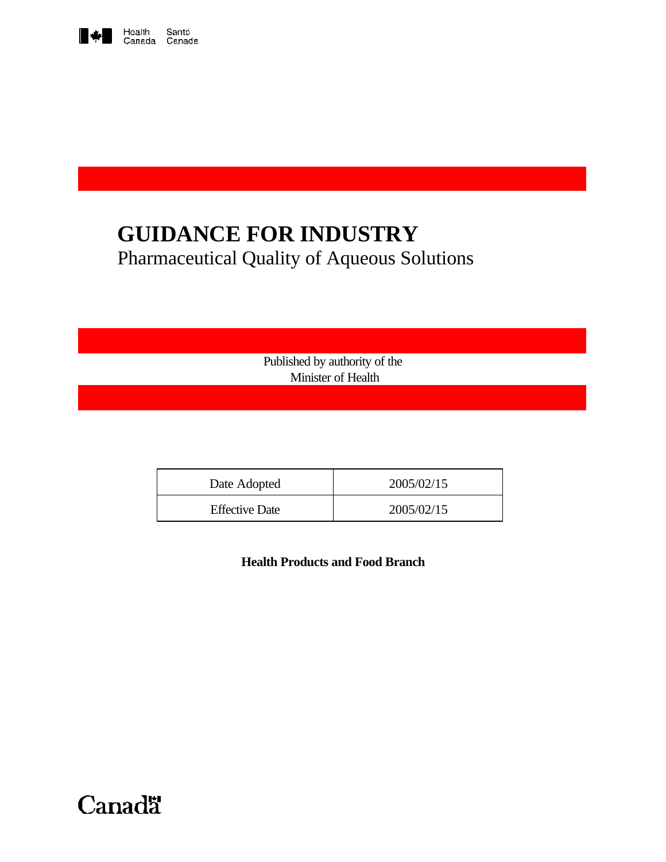

# **GUIDANCE FOR INDUSTRY** Pharmaceutical Quality of Aqueous Solutions

Published by authority of the Minister of Health

| Date Adopted          | 2005/02/15 |
|-----------------------|------------|
| <b>Effective Date</b> | 2005/02/15 |

**Health Products and Food Branch**

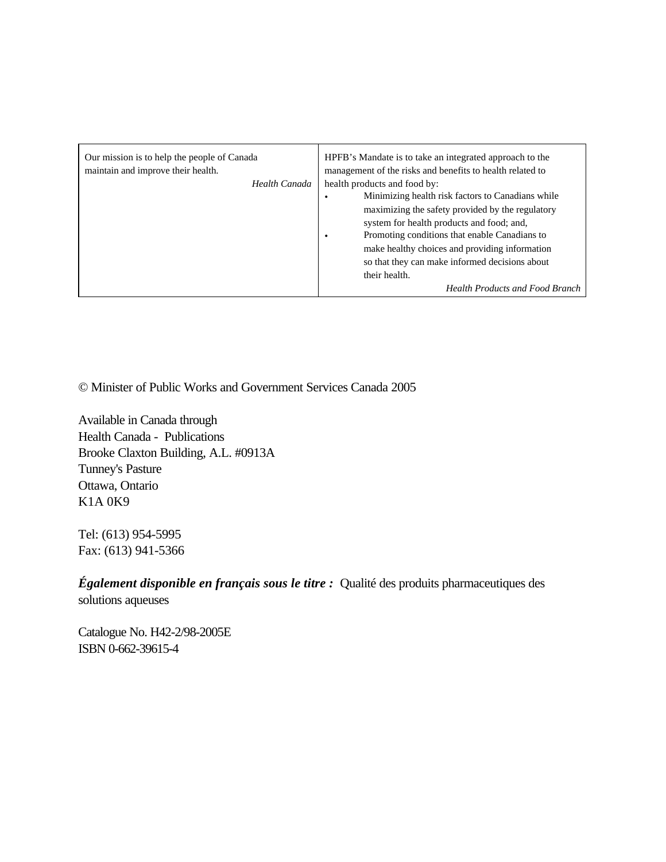| Our mission is to help the people of Canada<br>maintain and improve their health.<br>Health Canada | HPFB's Mandate is to take an integrated approach to the<br>management of the risks and benefits to health related to<br>health products and food by:<br>Minimizing health risk factors to Canadians while<br>maximizing the safety provided by the regulatory<br>system for health products and food; and, |
|----------------------------------------------------------------------------------------------------|------------------------------------------------------------------------------------------------------------------------------------------------------------------------------------------------------------------------------------------------------------------------------------------------------------|
|                                                                                                    | Promoting conditions that enable Canadians to<br>٠<br>make healthy choices and providing information<br>so that they can make informed decisions about<br>their health.<br><b>Health Products and Food Branch</b>                                                                                          |

© Minister of Public Works and Government Services Canada 2005

Available in Canada through Health Canada - Publications Brooke Claxton Building, A.L. #0913A Tunney's Pasture Ottawa, Ontario K1A 0K9

Tel: (613) 954-5995 Fax: (613) 941-5366

*Également disponible en français sous le titre :* Qualité des produits pharmaceutiques des solutions aqueuses

Catalogue No. H42-2/98-2005E ISBN 0-662-39615-4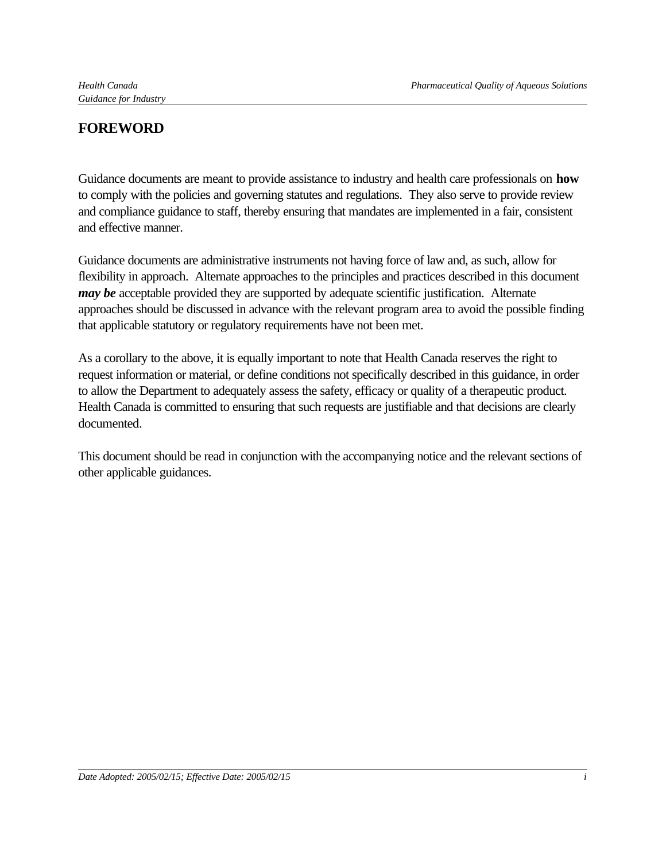# **FOREWORD**

Guidance documents are meant to provide assistance to industry and health care professionals on **how** to comply with the policies and governing statutes and regulations. They also serve to provide review and compliance guidance to staff, thereby ensuring that mandates are implemented in a fair, consistent and effective manner.

Guidance documents are administrative instruments not having force of law and, as such, allow for flexibility in approach. Alternate approaches to the principles and practices described in this document *may be* acceptable provided they are supported by adequate scientific justification. Alternate approaches should be discussed in advance with the relevant program area to avoid the possible finding that applicable statutory or regulatory requirements have not been met.

As a corollary to the above, it is equally important to note that Health Canada reserves the right to request information or material, or define conditions not specifically described in this guidance, in order to allow the Department to adequately assess the safety, efficacy or quality of a therapeutic product. Health Canada is committed to ensuring that such requests are justifiable and that decisions are clearly documented.

This document should be read in conjunction with the accompanying notice and the relevant sections of other applicable guidances.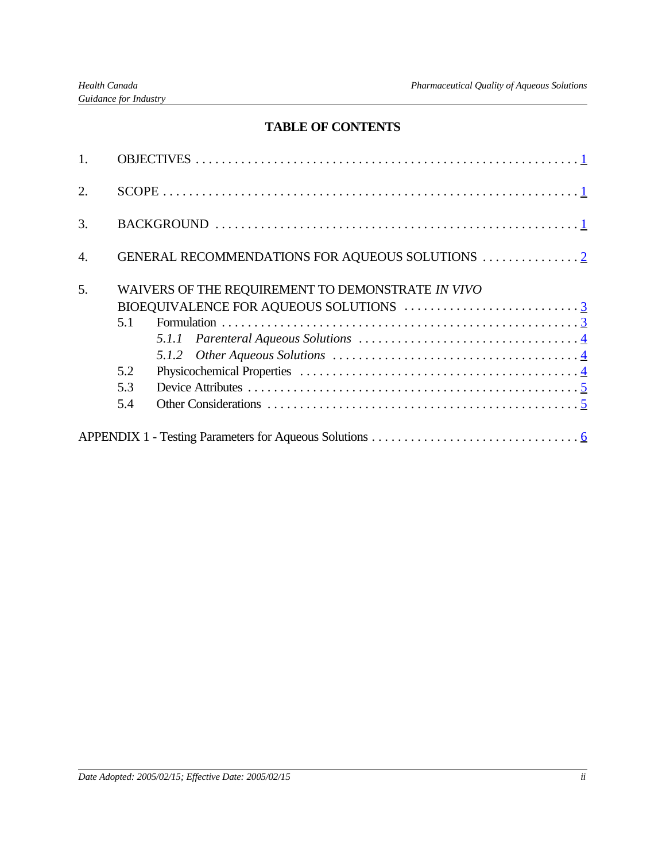## **TABLE OF CONTENTS**

| 2.               |     |                                                   |
|------------------|-----|---------------------------------------------------|
| 3.               |     |                                                   |
| $\overline{4}$ . |     |                                                   |
| 5.               |     | WAIVERS OF THE REQUIREMENT TO DEMONSTRATE IN VIVO |
|                  |     |                                                   |
|                  | 5.1 |                                                   |
|                  |     |                                                   |
|                  |     |                                                   |
|                  | 5.2 |                                                   |
|                  | 5.3 |                                                   |
|                  | 5.4 |                                                   |
|                  |     |                                                   |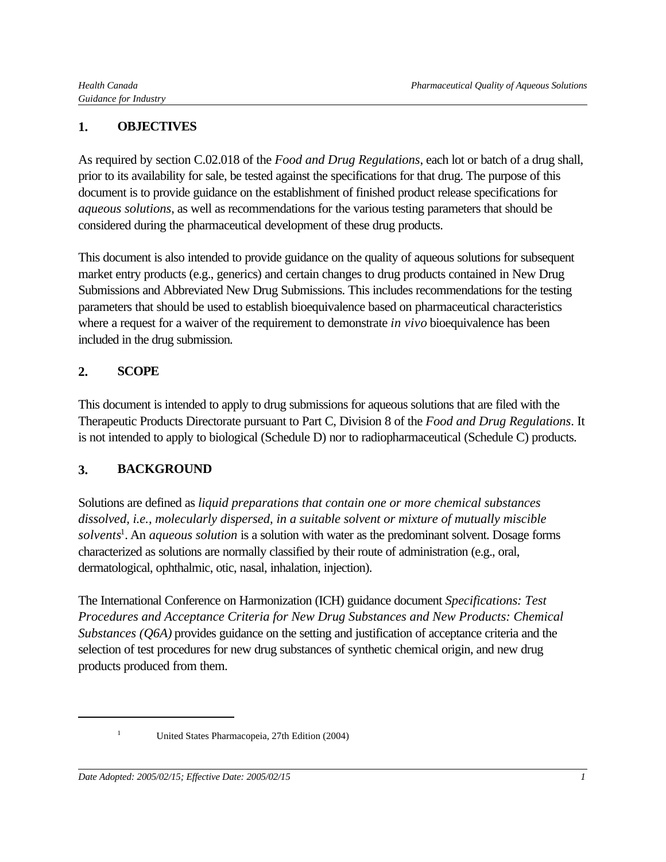## **1. OBJECTIVES**

As required by section C.02.018 of the *Food and Drug Regulations*, each lot or batch of a drug shall, prior to its availability for sale, be tested against the specifications for that drug. The purpose of this document is to provide guidance on the establishment of finished product release specifications for *aqueous solutions*, as well as recommendations for the various testing parameters that should be considered during the pharmaceutical development of these drug products.

This document is also intended to provide guidance on the quality of aqueous solutions for subsequent market entry products (e.g., generics) and certain changes to drug products contained in New Drug Submissions and Abbreviated New Drug Submissions. This includes recommendations for the testing parameters that should be used to establish bioequivalence based on pharmaceutical characteristics where a request for a waiver of the requirement to demonstrate *in vivo* bioequivalence has been included in the drug submission.

### **2. SCOPE**

This document is intended to apply to drug submissions for aqueous solutions that are filed with the Therapeutic Products Directorate pursuant to Part C, Division 8 of the *Food and Drug Regulations*. It is not intended to apply to biological (Schedule D) nor to radiopharmaceutical (Schedule C) products.

### **3. BACKGROUND**

Solutions are defined as *liquid preparations that contain one or more chemical substances dissolved, i.e., molecularly dispersed, in a suitable solvent or mixture of mutually miscible solvents*<sup>1</sup> . An *aqueous solution* is a solution with water as the predominant solvent. Dosage forms characterized as solutions are normally classified by their route of administration (e.g., oral, dermatological, ophthalmic, otic, nasal, inhalation, injection).

The International Conference on Harmonization (ICH) guidance document *Specifications: Test Procedures and Acceptance Criteria for New Drug Substances and New Products: Chemical Substances (Q6A)* provides guidance on the setting and justification of acceptance criteria and the selection of test procedures for new drug substances of synthetic chemical origin, and new drug products produced from them.

<sup>&</sup>lt;sup>1</sup> United States Pharmacopeia, 27th Edition (2004)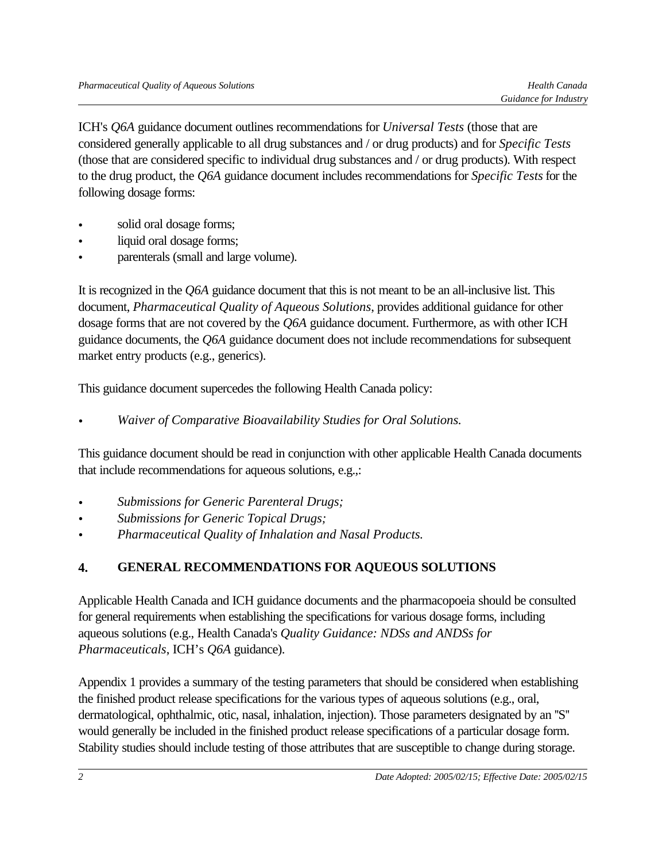ICH's *Q6A* guidance document outlines recommendations for *Universal Tests* (those that are considered generally applicable to all drug substances and / or drug products) and for *Specific Tests* (those that are considered specific to individual drug substances and / or drug products). With respect to the drug product, the *Q6A* guidance document includes recommendations for *Specific Tests* for the following dosage forms:

- solid oral dosage forms;
- liquid oral dosage forms;
- parenterals (small and large volume).

It is recognized in the *Q6A* guidance document that this is not meant to be an all-inclusive list. This document, *Pharmaceutical Quality of Aqueous Solutions*, provides additional guidance for other dosage forms that are not covered by the *Q6A* guidance document. Furthermore, as with other ICH guidance documents, the *Q6A* guidance document does not include recommendations for subsequent market entry products (e.g., generics).

This guidance document supercedes the following Health Canada policy:

*• Waiver of Comparative Bioavailability Studies for Oral Solutions.*

This guidance document should be read in conjunction with other applicable Health Canada documents that include recommendations for aqueous solutions, e.g.,:

- *• Submissions for Generic Parenteral Drugs;*
- *• Submissions for Generic Topical Drugs;*
- *• Pharmaceutical Quality of Inhalation and Nasal Products.*

# **4. GENERAL RECOMMENDATIONS FOR AQUEOUS SOLUTIONS**

Applicable Health Canada and ICH guidance documents and the pharmacopoeia should be consulted for general requirements when establishing the specifications for various dosage forms, including aqueous solutions (e.g., Health Canada's *Quality Guidance: NDSs and ANDSs for Pharmaceuticals*, ICH's *Q6A* guidance).

Appendix 1 provides a summary of the testing parameters that should be considered when establishing the finished product release specifications for the various types of aqueous solutions (e.g., oral, dermatological, ophthalmic, otic, nasal, inhalation, injection). Those parameters designated by an ''S'' would generally be included in the finished product release specifications of a particular dosage form. Stability studies should include testing of those attributes that are susceptible to change during storage.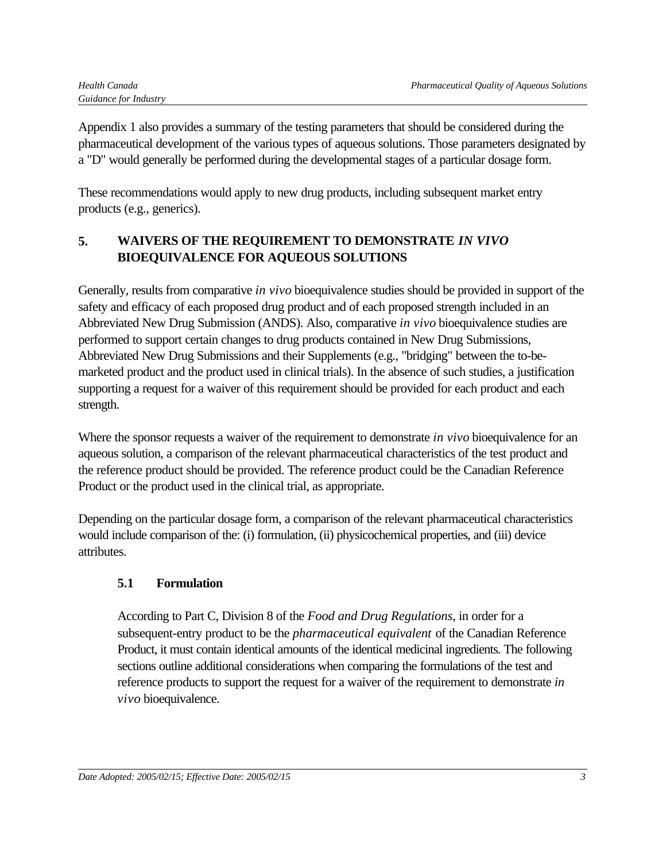Appendix 1 also provides a summary of the testing parameters that should be considered during the pharmaceutical development of the various types of aqueous solutions. Those parameters designated by a "D" would generally be performed during the developmental stages of a particular dosage form.

These recommendations would apply to new drug products, including subsequent market entry products (e.g., generics).

## **5. WAIVERS OF THE REQUIREMENT TO DEMONSTRATE** *IN VIVO* **BIOEQUIVALENCE FOR AQUEOUS SOLUTIONS**

Generally, results from comparative *in vivo* bioequivalence studies should be provided in support of the safety and efficacy of each proposed drug product and of each proposed strength included in an Abbreviated New Drug Submission (ANDS). Also, comparative *in vivo* bioequivalence studies are performed to support certain changes to drug products contained in New Drug Submissions, Abbreviated New Drug Submissions and their Supplements (e.g., "bridging" between the to-bemarketed product and the product used in clinical trials). In the absence of such studies, a justification supporting a request for a waiver of this requirement should be provided for each product and each strength.

Where the sponsor requests a waiver of the requirement to demonstrate *in vivo* bioequivalence for an aqueous solution, a comparison of the relevant pharmaceutical characteristics of the test product and the reference product should be provided. The reference product could be the Canadian Reference Product or the product used in the clinical trial, as appropriate.

Depending on the particular dosage form, a comparison of the relevant pharmaceutical characteristics would include comparison of the: (i) formulation, (ii) physicochemical properties, and (iii) device attributes.

### **5.1 Formulation**

According to Part C, Division 8 of the *Food and Drug Regulations*, in order for a subsequent-entry product to be the *pharmaceutical equivalent* of the Canadian Reference Product, it must contain identical amounts of the identical medicinal ingredients. The following sections outline additional considerations when comparing the formulations of the test and reference products to support the request for a waiver of the requirement to demonstrate *in vivo* bioequivalence.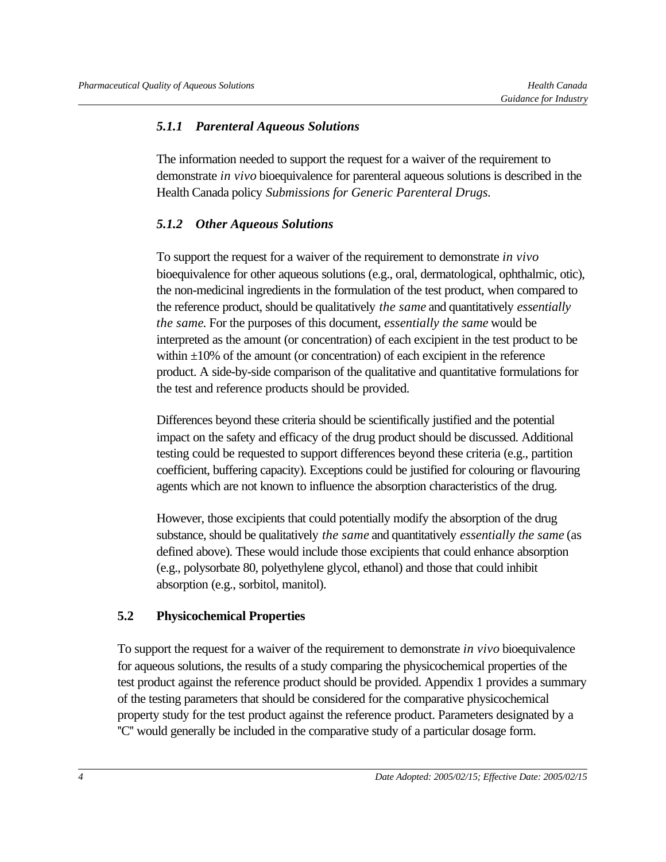#### *5.1.1 Parenteral Aqueous Solutions*

The information needed to support the request for a waiver of the requirement to demonstrate *in vivo* bioequivalence for parenteral aqueous solutions is described in the Health Canada policy *Submissions for Generic Parenteral Drugs.*

#### *5.1.2 Other Aqueous Solutions*

To support the request for a waiver of the requirement to demonstrate *in vivo* bioequivalence for other aqueous solutions (e.g., oral, dermatological, ophthalmic, otic), the non-medicinal ingredients in the formulation of the test product, when compared to the reference product, should be qualitatively *the same* and quantitatively *essentially the same*. For the purposes of this document, *essentially the same* would be interpreted as the amount (or concentration) of each excipient in the test product to be within  $\pm 10\%$  of the amount (or concentration) of each excipient in the reference product. A side-by-side comparison of the qualitative and quantitative formulations for the test and reference products should be provided.

Differences beyond these criteria should be scientifically justified and the potential impact on the safety and efficacy of the drug product should be discussed. Additional testing could be requested to support differences beyond these criteria (e.g., partition coefficient, buffering capacity). Exceptions could be justified for colouring or flavouring agents which are not known to influence the absorption characteristics of the drug.

However, those excipients that could potentially modify the absorption of the drug substance, should be qualitatively *the same* and quantitatively *essentially the same* (as defined above). These would include those excipients that could enhance absorption (e.g., polysorbate 80, polyethylene glycol, ethanol) and those that could inhibit absorption (e.g., sorbitol, manitol).

#### **5.2 Physicochemical Properties**

To support the request for a waiver of the requirement to demonstrate *in vivo* bioequivalence for aqueous solutions, the results of a study comparing the physicochemical properties of the test product against the reference product should be provided. Appendix 1 provides a summary of the testing parameters that should be considered for the comparative physicochemical property study for the test product against the reference product. Parameters designated by a ''C'' would generally be included in the comparative study of a particular dosage form.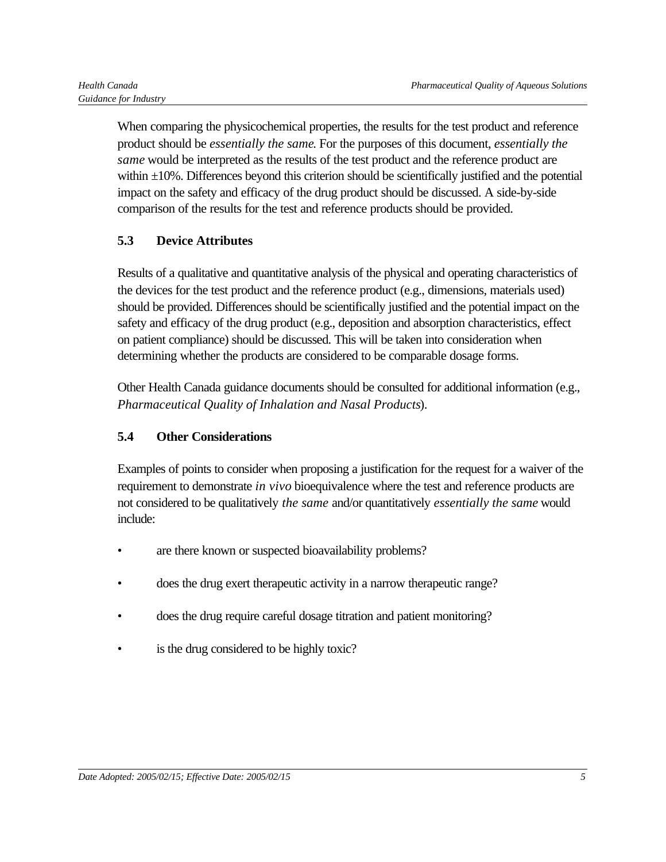When comparing the physicochemical properties, the results for the test product and reference product should be *essentially the same*. For the purposes of this document, *essentially the same* would be interpreted as the results of the test product and the reference product are within  $\pm 10$ %. Differences beyond this criterion should be scientifically justified and the potential impact on the safety and efficacy of the drug product should be discussed. A side-by-side comparison of the results for the test and reference products should be provided.

### **5.3 Device Attributes**

Results of a qualitative and quantitative analysis of the physical and operating characteristics of the devices for the test product and the reference product (e.g., dimensions, materials used) should be provided. Differences should be scientifically justified and the potential impact on the safety and efficacy of the drug product (e.g., deposition and absorption characteristics, effect on patient compliance) should be discussed. This will be taken into consideration when determining whether the products are considered to be comparable dosage forms.

Other Health Canada guidance documents should be consulted for additional information (e.g., *Pharmaceutical Quality of Inhalation and Nasal Products*).

#### **5.4 Other Considerations**

Examples of points to consider when proposing a justification for the request for a waiver of the requirement to demonstrate *in vivo* bioequivalence where the test and reference products are not considered to be qualitatively *the same* and/or quantitatively *essentially the same* would include:

- are there known or suspected bioavailability problems?
- does the drug exert therapeutic activity in a narrow therapeutic range?
- does the drug require careful dosage titration and patient monitoring?
- is the drug considered to be highly toxic?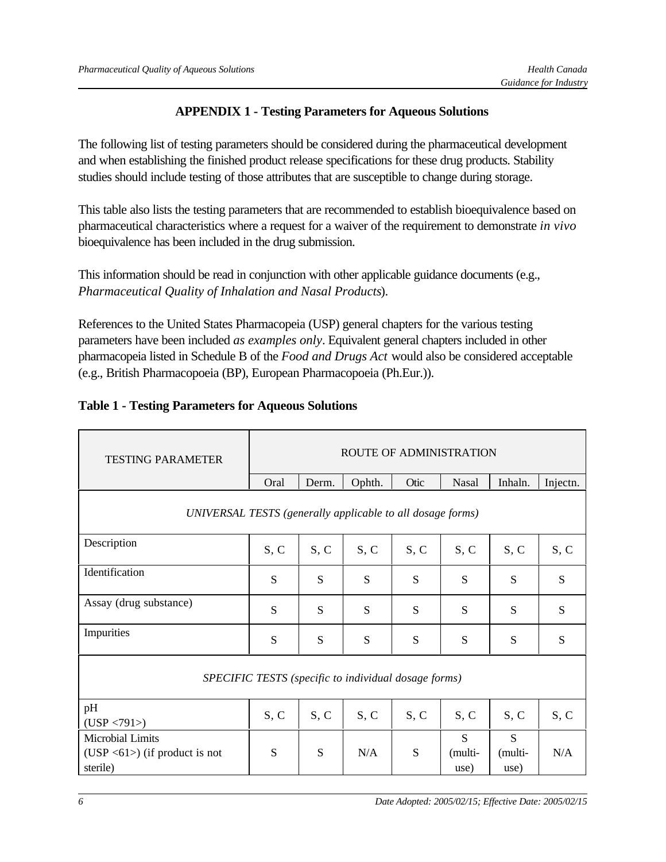#### **APPENDIX 1 - Testing Parameters for Aqueous Solutions**

The following list of testing parameters should be considered during the pharmaceutical development and when establishing the finished product release specifications for these drug products. Stability studies should include testing of those attributes that are susceptible to change during storage.

This table also lists the testing parameters that are recommended to establish bioequivalence based on pharmaceutical characteristics where a request for a waiver of the requirement to demonstrate *in vivo* bioequivalence has been included in the drug submission.

This information should be read in conjunction with other applicable guidance documents (e.g., *Pharmaceutical Quality of Inhalation and Nasal Products*).

References to the United States Pharmacopeia (USP) general chapters for the various testing parameters have been included *as examples only*. Equivalent general chapters included in other pharmacopeia listed in Schedule B of the *Food and Drugs Act* would also be considered acceptable (e.g., British Pharmacopoeia (BP), European Pharmacopoeia (Ph.Eur.)).

#### **Table 1 - Testing Parameters for Aqueous Solutions**

| <b>TESTING PARAMETER</b>                                                       | ROUTE OF ADMINISTRATION |       |        |      |                      |                      |          |  |
|--------------------------------------------------------------------------------|-------------------------|-------|--------|------|----------------------|----------------------|----------|--|
|                                                                                | Oral                    | Derm. | Ophth. | Otic | Nasal                | Inhaln.              | Injectn. |  |
| UNIVERSAL TESTS (generally applicable to all dosage forms)                     |                         |       |        |      |                      |                      |          |  |
| Description                                                                    | S, C                    | S, C  | S, C   | S, C | S, C                 | S, C                 | S, C     |  |
| Identification                                                                 | S                       | S     | S      | S    | S                    | S                    | S        |  |
| Assay (drug substance)                                                         | S                       | S     | S      | S    | S                    | S                    | S        |  |
| Impurities                                                                     | S                       | S     | S      | S    | S                    | S                    | S        |  |
| SPECIFIC TESTS (specific to individual dosage forms)                           |                         |       |        |      |                      |                      |          |  |
| pH<br>(USP < 791)                                                              | S, C                    | S, C  | S, C   | S, C | S, C                 | S, C                 | S, C     |  |
| Microbial Limits<br>(USP $\langle 61 \rangle$ ) (if product is not<br>sterile) | S                       | S     | N/A    | S    | S<br>(multi-<br>use) | S<br>(multi-<br>use) | N/A      |  |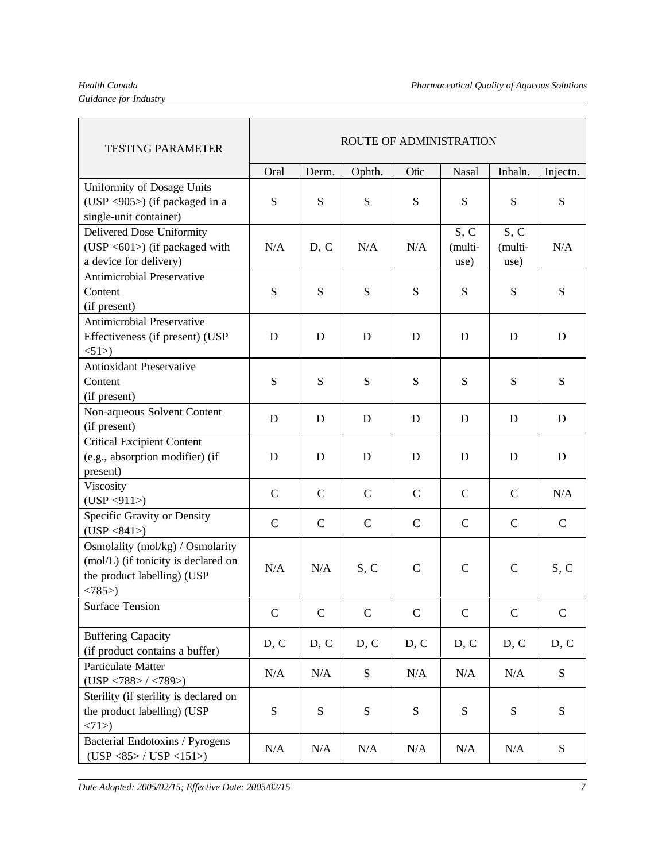# *Guidance for Industry*

| <b>TESTING PARAMETER</b>                                                                                           | <b>ROUTE OF ADMINISTRATION</b> |              |               |             |                         |                         |                   |
|--------------------------------------------------------------------------------------------------------------------|--------------------------------|--------------|---------------|-------------|-------------------------|-------------------------|-------------------|
|                                                                                                                    | Oral                           | Derm.        | Ophth.        | Otic        | Nasal                   | Inhaln.                 | Injectn.          |
| Uniformity of Dosage Units<br>(USP <905>) (if packaged in a<br>single-unit container)                              | ${\bf S}$                      | S            | S             | S           | S                       | S                       | S                 |
| Delivered Dose Uniformity<br>(USP $\langle 601 \rangle$ ) (if packaged with<br>a device for delivery)              | N/A                            | D, C         | N/A           | N/A         | S, C<br>(multi-<br>use) | S, C<br>(multi-<br>use) | N/A               |
| <b>Antimicrobial Preservative</b><br>Content<br>(if present)                                                       | ${\bf S}$                      | S            | S             | ${\bf S}$   | S                       | S                       | S                 |
| <b>Antimicrobial Preservative</b><br>Effectiveness (if present) (USP<br><1>51                                      | D                              | D            | D             | D           | D                       | D                       | D                 |
| <b>Antioxidant Preservative</b><br>Content<br>(if present)                                                         | S                              | S            | S             | S           | S                       | S                       | S                 |
| Non-aqueous Solvent Content<br>(if present)                                                                        | D                              | D            | D             | D           | D                       | D                       | D                 |
| <b>Critical Excipient Content</b><br>(e.g., absorption modifier) (if<br>present)                                   | D                              | D            | D             | D           | D                       | D                       | D                 |
| Viscosity<br>(USP < 911)                                                                                           | $\mathcal{C}$                  | $\mathbf C$  | $\mathcal{C}$ | $\mathbf C$ | $\mathbf C$             | $\mathbf C$             | N/A               |
| Specific Gravity or Density<br>(USP < 841)                                                                         | $\mathbf C$                    | $\mathbf C$  | $\mathcal{C}$ | $\mathbf C$ | $\mathcal{C}$           | $\mathbf C$             | $\mathsf{C}$      |
| Osmolality (mol/kg) / Osmolarity<br>(mol/L) (if tonicity is declared on<br>the product labelling) (USP<br>$<785$ ) | N/A                            | N/A          | S, C          | $\mathbf C$ | $\mathbf C$             | $\mathcal{C}$           | S, C              |
| <b>Surface Tension</b>                                                                                             | $\mathsf{C}$                   | $\mathsf{C}$ | $\mathbf C$   | $\mathbf C$ | $\mathbf C$             | $\mathsf{C}$            | $\mathbf C$       |
| <b>Buffering Capacity</b><br>(if product contains a buffer)                                                        | D, C                           | D, C         | D, C          | D, C        | D, C                    | D, C                    | D, C              |
| Particulate Matter<br>(USP < 788> / <789>)                                                                         | N/A                            | N/A          | ${\bf S}$     | N/A         | N/A                     | N/A                     | $S_{\mathcal{S}}$ |
| Sterility (if sterility is declared on<br>the product labelling) (USP<br>$<71$ >)                                  | S                              | S            | ${\bf S}$     | S           | S                       | S                       | S                 |
| Bacterial Endotoxins / Pyrogens<br>$(USP < 85$ > / $USP < 151$ >)                                                  | N/A                            | N/A          | N/A           | N/A         | N/A                     | N/A                     | S                 |

*Date Adopted: 2005/02/15; Effective Date: 2005/02/15 7*